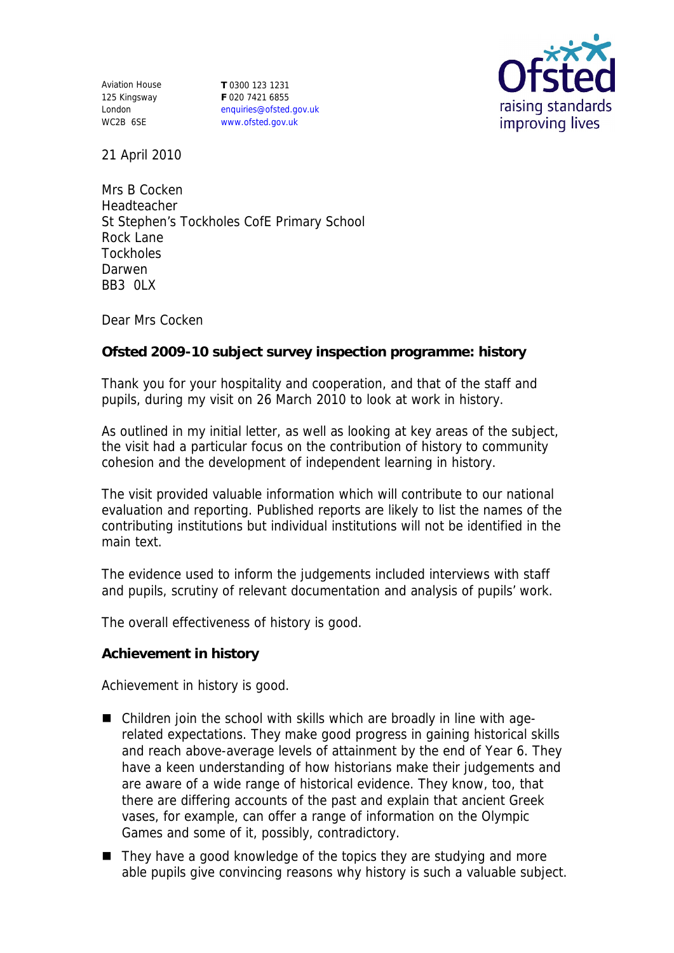Aviation House 125 Kingsway London WC2B 6SE

**T** 0300 123 1231 **F** 020 7421 6855 enquiries@ofsted.gov.uk www.ofsted.gov.uk



21 April 2010

Mrs B Cocken Headteacher St Stephen's Tockholes CofE Primary School Rock Lane **Tockholes** Darwen BB<sub>3</sub> OLX

Dear Mrs Cocken

**Ofsted 2009-10 subject survey inspection programme: history**

Thank you for your hospitality and cooperation, and that of the staff and pupils, during my visit on 26 March 2010 to look at work in history.

As outlined in my initial letter, as well as looking at key areas of the subject, the visit had a particular focus on the contribution of history to community cohesion and the development of independent learning in history.

The visit provided valuable information which will contribute to our national evaluation and reporting. Published reports are likely to list the names of the contributing institutions but individual institutions will not be identified in the main text.

The evidence used to inform the judgements included interviews with staff and pupils, scrutiny of relevant documentation and analysis of pupils' work.

The overall effectiveness of history is good.

**Achievement in history**

Achievement in history is good.

- Children join the school with skills which are broadly in line with agerelated expectations. They make good progress in gaining historical skills and reach above-average levels of attainment by the end of Year 6. They have a keen understanding of how historians make their judgements and are aware of a wide range of historical evidence. They know, too, that there are differing accounts of the past and explain that ancient Greek vases, for example, can offer a range of information on the Olympic Games and some of it, possibly, contradictory.
- They have a good knowledge of the topics they are studying and more able pupils give convincing reasons why history is such a valuable subject.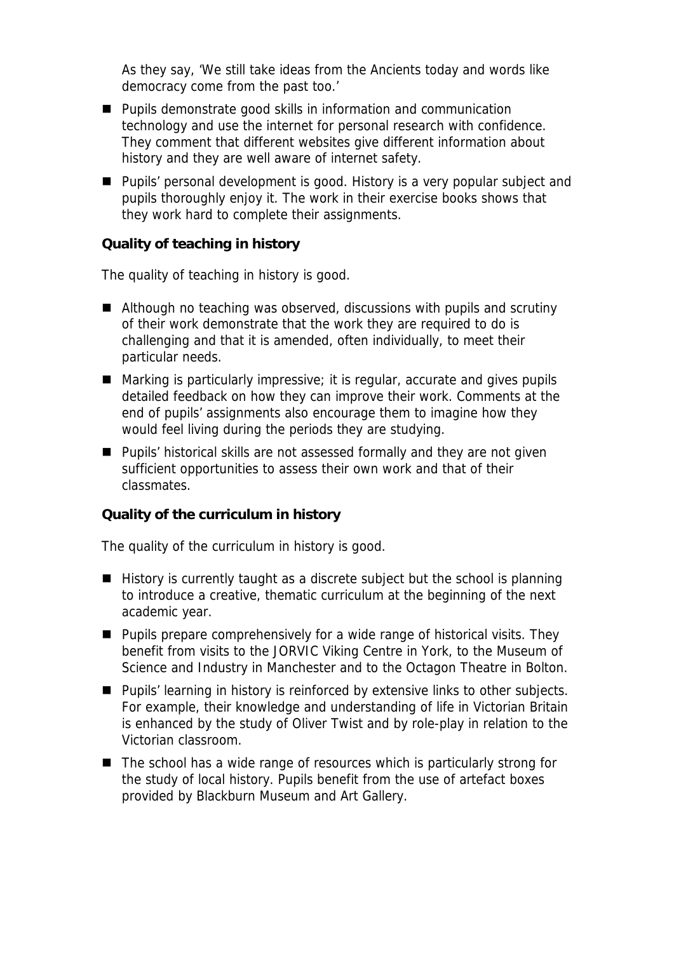As they say, 'We still take ideas from the Ancients today and words like *democracy* come from the past too.'

- **Pupils demonstrate good skills in information and communication** technology and use the internet for personal research with confidence. They comment that different websites give different information about history and they are well aware of internet safety.
- **Pupils' personal development is good. History is a very popular subject and** pupils thoroughly enjoy it. The work in their exercise books shows that they work hard to complete their assignments.

**Quality of teaching in history**

The quality of teaching in history is good.

- Although no teaching was observed, discussions with pupils and scrutiny of their work demonstrate that the work they are required to do is challenging and that it is amended, often individually, to meet their particular needs.
- Marking is particularly impressive; it is regular, accurate and gives pupils detailed feedback on how they can improve their work. Comments at the end of pupils' assignments also encourage them to imagine how they would feel living during the periods they are studying.
- **Pupils' historical skills are not assessed formally and they are not given** sufficient opportunities to assess their own work and that of their classmates.

**Quality of the curriculum in history**

The quality of the curriculum in history is good.

- $\blacksquare$  History is currently taught as a discrete subject but the school is planning to introduce a creative, thematic curriculum at the beginning of the next academic year.
- Pupils prepare comprehensively for a wide range of historical visits. They benefit from visits to the JORVIC Viking Centre in York, to the Museum of Science and Industry in Manchester and to the Octagon Theatre in Bolton.
- Pupils' learning in history is reinforced by extensive links to other subjects. For example, their knowledge and understanding of life in Victorian Britain is enhanced by the study of Oliver Twist and by role-play in relation to the Victorian classroom.
- The school has a wide range of resources which is particularly strong for the study of local history. Pupils benefit from the use of artefact boxes provided by Blackburn Museum and Art Gallery.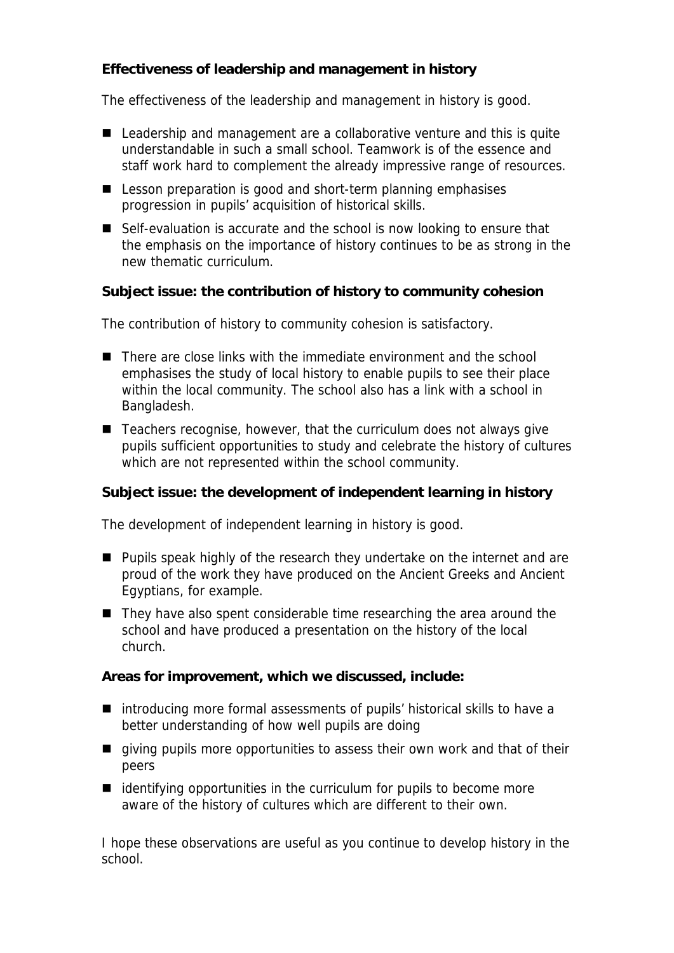**Effectiveness of leadership and management in history**

The effectiveness of the leadership and management in history is good.

- Leadership and management are a collaborative venture and this is quite understandable in such a small school. Teamwork is of the essence and staff work hard to complement the already impressive range of resources.
- Lesson preparation is good and short-term planning emphasises progression in pupils' acquisition of historical skills.
- Self-evaluation is accurate and the school is now looking to ensure that the emphasis on the importance of history continues to be as strong in the new thematic curriculum.

**Subject issue: the contribution of history to community cohesion**

The contribution of history to community cohesion is satisfactory.

- There are close links with the immediate environment and the school emphasises the study of local history to enable pupils to see their place within the local community. The school also has a link with a school in Bangladesh.
- Teachers recognise, however, that the curriculum does not always give pupils sufficient opportunities to study and celebrate the history of cultures which are not represented within the school community.

**Subject issue: the development of independent learning in history**

The development of independent learning in history is good.

- **Pupils speak highly of the research they undertake on the internet and are** proud of the work they have produced on the Ancient Greeks and Ancient Egyptians, for example.
- They have also spent considerable time researching the area around the school and have produced a presentation on the history of the local church.

**Areas for improvement, which we discussed, include:**

- introducing more formal assessments of pupils' historical skills to have a better understanding of how well pupils are doing
- qiving pupils more opportunities to assess their own work and that of their peers
- $\blacksquare$  identifying opportunities in the curriculum for pupils to become more aware of the history of cultures which are different to their own.

I hope these observations are useful as you continue to develop history in the school.